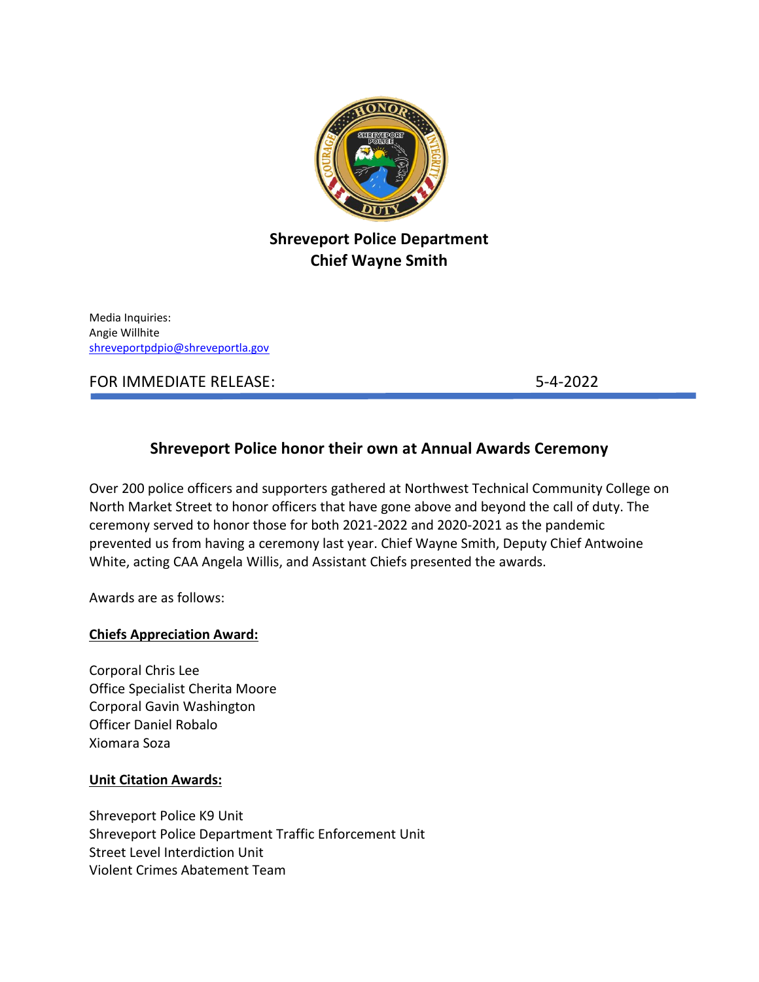

# **Shreveport Police Department Chief Wayne Smith**

Media Inquiries: Angie Willhite [shreveportpdpio@shreveportla.gov](mailto:shreveportpdpio@shreveportla.gov)

FOR IMMEDIATE RELEASE: 5-4-2022

# **Shreveport Police honor their own at Annual Awards Ceremony**

Over 200 police officers and supporters gathered at Northwest Technical Community College on North Market Street to honor officers that have gone above and beyond the call of duty. The ceremony served to honor those for both 2021-2022 and 2020-2021 as the pandemic prevented us from having a ceremony last year. Chief Wayne Smith, Deputy Chief Antwoine White, acting CAA Angela Willis, and Assistant Chiefs presented the awards.

Awards are as follows:

### **Chiefs Appreciation Award:**

Corporal Chris Lee Office Specialist Cherita Moore Corporal Gavin Washington Officer Daniel Robalo Xiomara Soza

### **Unit Citation Awards:**

Shreveport Police K9 Unit Shreveport Police Department Traffic Enforcement Unit Street Level Interdiction Unit Violent Crimes Abatement Team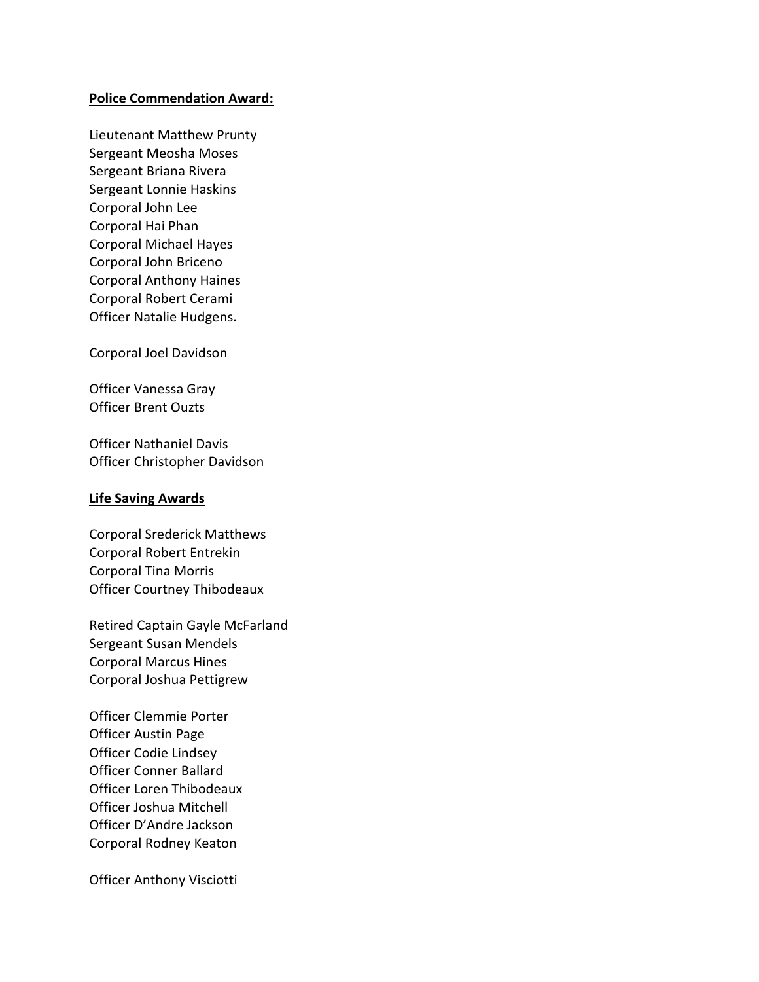#### **Police Commendation Award:**

Lieutenant Matthew Prunty Sergeant Meosha Moses Sergeant Briana Rivera Sergeant Lonnie Haskins Corporal John Lee Corporal Hai Phan Corporal Michael Hayes Corporal John Briceno Corporal Anthony Haines Corporal Robert Cerami Officer Natalie Hudgens.

Corporal Joel Davidson

Officer Vanessa Gray Officer Brent Ouzts

Officer Nathaniel Davis Officer Christopher Davidson

#### **Life Saving Awards**

Corporal Srederick Matthews Corporal Robert Entrekin Corporal Tina Morris Officer Courtney Thibodeaux

Retired Captain Gayle McFarland Sergeant Susan Mendels Corporal Marcus Hines Corporal Joshua Pettigrew

Officer Clemmie Porter Officer Austin Page Officer Codie Lindsey Officer Conner Ballard Officer Loren Thibodeaux Officer Joshua Mitchell Officer D'Andre Jackson Corporal Rodney Keaton

Officer Anthony Visciotti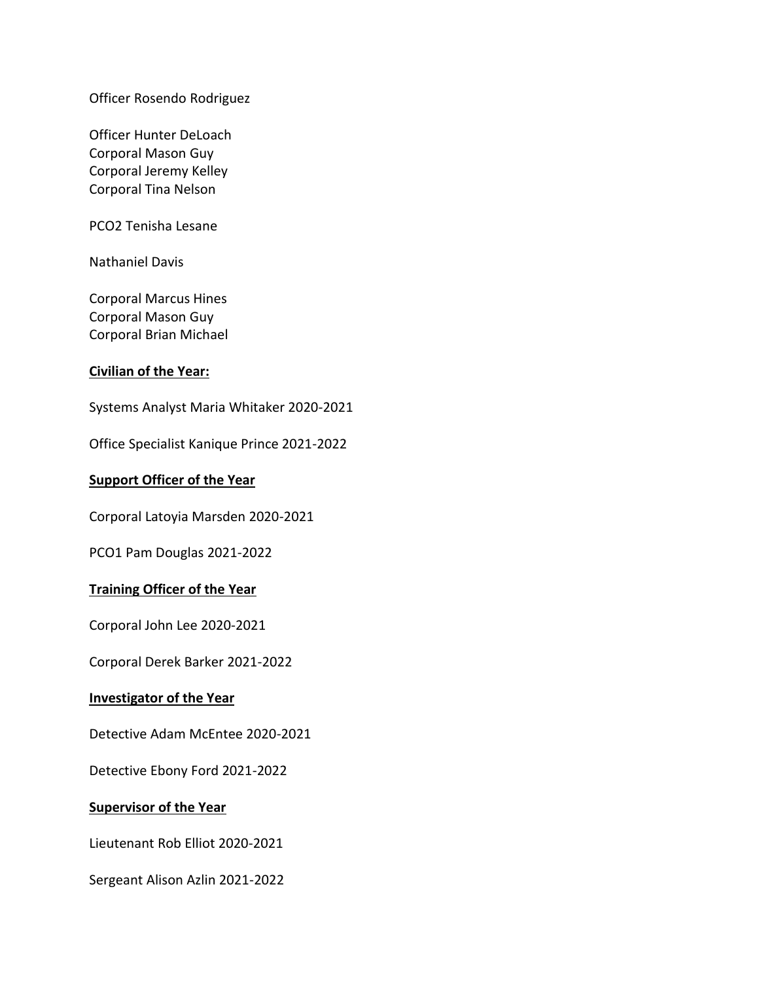Officer Rosendo Rodriguez

Officer Hunter DeLoach Corporal Mason Guy Corporal Jeremy Kelley Corporal Tina Nelson

PCO2 Tenisha Lesane

Nathaniel Davis

Corporal Marcus Hines Corporal Mason Guy Corporal Brian Michael

#### **Civilian of the Year:**

Systems Analyst Maria Whitaker 2020-2021

Office Specialist Kanique Prince 2021-2022

### **Support Officer of the Year**

Corporal Latoyia Marsden 2020-2021

PCO1 Pam Douglas 2021-2022

### **Training Officer of the Year**

Corporal John Lee 2020-2021

Corporal Derek Barker 2021-2022

#### **Investigator of the Year**

Detective Adam McEntee 2020-2021

Detective Ebony Ford 2021-2022

#### **Supervisor of the Year**

Lieutenant Rob Elliot 2020-2021

Sergeant Alison Azlin 2021-2022